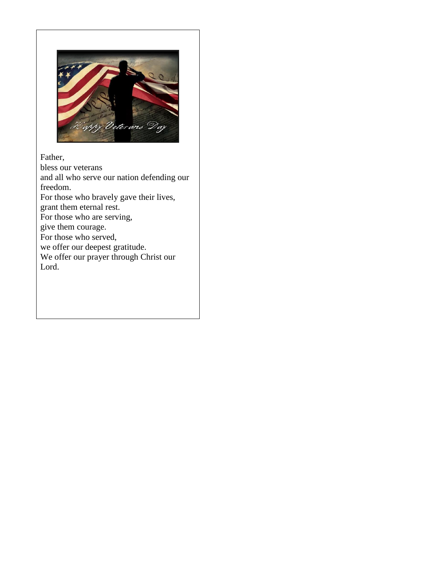

Father, bless our veterans and all who serve our nation defending our freedom. For those who bravely gave their lives, grant them eternal rest. For those who are serving, give them courage. For those who served, we offer our deepest gratitude. We offer our prayer through Christ our Lord.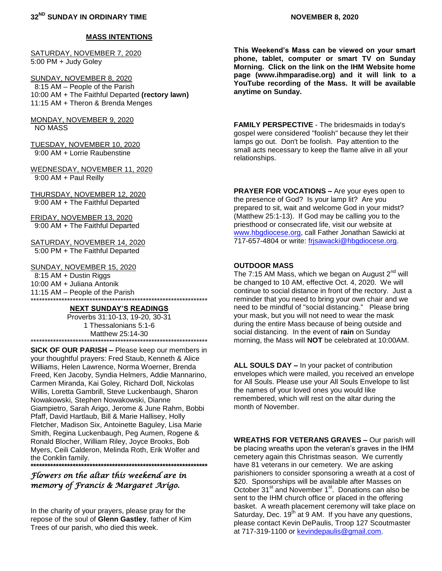SATURDAY, NOVEMBER 7, 2020 5:00 PM + Judy Goley

SUNDAY, NOVEMBER 8, 2020 8:15 AM – People of the Parish 10:00 AM + The Faithful Departed **(rectory lawn)** 11:15 AM + Theron & Brenda Menges

MONDAY, NOVEMBER 9, 2020 NO MASS

TUESDAY, NOVEMBER 10, 2020 9:00 AM + Lorrie Raubenstine

WEDNESDAY, NOVEMBER 11, 2020 9:00 AM + Paul Reilly

THURSDAY, NOVEMBER 12, 2020 9:00 AM + The Faithful Departed

FRIDAY, NOVEMBER 13, 2020 9:00 AM + The Faithful Departed

SATURDAY, NOVEMBER 14, 2020 5:00 PM + The Faithful Departed

SUNDAY, NOVEMBER 15, 2020

 8:15 AM + Dustin Riggs 10:00 AM + Juliana Antonik 11:15 AM – People of the Parish \*\*\*\*\*\*\*\*\*\*\*\*\*\*\*\*\*\*\*\*\*\*\*\*\*\*\*\*\*\*\*\*\*\*\*\*\*\*\*\*\*\*\*\*\*\*\*\*\*\*\*\*\*\*\*\*\*\*\*\*\*\*\*

### **NEXT SUNDAY'S READINGS**

Proverbs 31:10-13, 19-20, 30-31 1 Thessalonians 5:1-6 Matthew 25:14-30 \*\*\*\*\*\*\*\*\*\*\*\*\*\*\*\*\*\*\*\*\*\*\*\*\*\*\*\*\*\*\*\*\*\*\*\*\*\*\*\*\*\*\*\*\*\*\*\*\*\*\*\*\*\*\*\*\*\*\*\*\*\*\*

**SICK OF OUR PARISH –** Please keep our members in your thoughtful prayers: Fred Staub, Kenneth & Alice Williams, Helen Lawrence, Norma Woerner, Brenda Freed, Ken Jacoby, Syndia Helmers, Addie Mannarino, Carmen Miranda, Kai Goley, Richard Doll, Nickolas Willis, Loretta Gambrill, Steve Luckenbaugh, Sharon Nowakowski, Stephen Nowakowski, Dianne Giampietro, Sarah Arigo, Jerome & June Rahm, Bobbi Pfaff, David Hartlaub, Bill & Marie Hallisey, Holly Fletcher, Madison Six, Antoinette Baguley, Lisa Marie Smith, Regina Luckenbaugh, Peg Aumen, Rogene & Ronald Blocher, William Riley, Joyce Brooks, Bob Myers, Ceili Calderon, Melinda Roth, Erik Wolfer and the Conklin family.

**\*\*\*\*\*\*\*\*\*\*\*\*\*\*\*\*\*\*\*\*\*\*\*\*\*\*\*\*\*\*\*\*\*\*\*\*\*\*\*\*\*\*\*\*\*\*\*\*\*\*\*\*\*\*\*\*\*\*\*\*\*\*\***

# *Flowers on the altar this weekend are in memory of Francis & Margaret Arigo.*

In the charity of your prayers, please pray for the repose of the soul of **Glenn Gastley**, father of Kim Trees of our parish, who died this week.

**This Weekend's Mass can be viewed on your smart phone, tablet, computer or smart TV on Sunday Morning. Click on the link on the IHM Website home page (www.ihmparadise.org) and it will link to a YouTube recording of the Mass. It will be available anytime on Sunday.**

**FAMILY PERSPECTIVE** - The bridesmaids in today's gospel were considered "foolish" because they let their lamps go out. Don't be foolish. Pay attention to the small acts necessary to keep the flame alive in all your relationships.

**PRAYER FOR VOCATIONS –** Are your eyes open to the presence of God? Is your lamp lit? Are you prepared to sit, wait and welcome God in your midst? (Matthew 25:1-13). If God may be calling you to the priesthood or consecrated life, visit our website at [www.hbgdiocese.org,](http://www.hbgdiocese.org/) call Father Jonathan Sawicki at 717-657-4804 or write: [frjsawacki@hbgdiocese.org.](mailto:frjsawacki@hbgdiocese.org)

### **OUTDOOR MASS**

The 7:15 AM Mass, which we began on August  $2<sup>nd</sup>$  will be changed to 10 AM, effective Oct. 4, 2020. We will continue to social distance in front of the rectory. Just a reminder that you need to bring your own chair and we need to be mindful of "social distancing." Please bring your mask, but you will not need to wear the mask during the entire Mass because of being outside and social distancing. In the event of **rain** on Sunday morning, the Mass will **NOT** be celebrated at 10:00AM.

**ALL SOULS DAY –** In your packet of contribution envelopes which were mailed, you received an envelope for All Souls. Please use your All Souls Envelope to list the names of your loved ones you would like remembered, which will rest on the altar during the month of November.

**WREATHS FOR VETERANS GRAVES –** Our parish will be placing wreaths upon the veteran's graves in the IHM cemetery again this Christmas season. We currently have 81 veterans in our cemetery. We are asking parishioners to consider sponsoring a wreath at a cost of \$20. Sponsorships will be available after Masses on October 31<sup>st</sup> and November 1<sup>st</sup>. Donations can also be sent to the IHM church office or placed in the offering basket. A wreath placement ceremony will take place on Saturday, Dec. 19<sup>th</sup> at 9 AM. If you have any questions, please contact Kevin DePaulis, Troop 127 Scoutmaster at 717-319-1100 or [kevindepaulis@gmail.com.](mailto:kevindepaulis@gmail.com)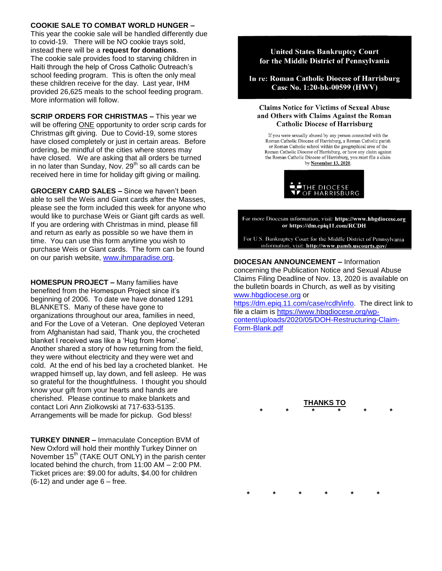# **COOKIE SALE TO COMBAT WORLD HUNGER –**

This year the cookie sale will be handled differently due to covid-19. There will be NO cookie trays sold, instead there will be a **request for donations**. The cookie sale provides food to starving children in Haiti through the help of Cross Catholic Outreach's school feeding program. This is often the only meal these children receive for the day. Last year, IHM provided 26,625 meals to the school feeding program. More information will follow.

**SCRIP ORDERS FOR CHRISTMAS –** This year we will be offering ONE opportunity to order scrip cards for Christmas gift giving. Due to Covid-19, some stores have closed completely or just in certain areas. Before ordering, be mindful of the cities where stores may have closed. We are asking that all orders be turned in no later than Sunday, Nov.  $29<sup>th</sup>$  so all cards can be received here in time for holiday gift giving or mailing.

**GROCERY CARD SALES –** Since we haven't been able to sell the Weis and Giant cards after the Masses, please see the form included this week for anyone who would like to purchase Weis or Giant gift cards as well. If you are ordering with Christmas in mind, please fill and return as early as possible so we have them in time. You can use this form anytime you wish to purchase Weis or Giant cards. The form can be found on our parish website, [www.ihmparadise.org.](http://www.ihmparadise.org/)

**HOMESPUN PROJECT –** Many families have benefited from the Homespun Project since it's beginning of 2006. To date we have donated 1291 BLANKETS. Many of these have gone to organizations throughout our area, families in need, and For the Love of a Veteran. One deployed Veteran from Afghanistan had said, Thank you, the crocheted blanket I received was like a 'Hug from Home'. Another shared a story of how returning from the field, they were without electricity and they were wet and cold. At the end of his bed lay a crocheted blanket. He wrapped himself up, lay down, and fell asleep. He was so grateful for the thoughtfulness. I thought you should know your gift from your hearts and hands are cherished. Please continue to make blankets and contact Lori Ann Ziolkowski at 717-633-5135. Arrangements will be made for pickup. God bless!

**TURKEY DINNER –** Immaculate Conception BVM of New Oxford will hold their monthly Turkey Dinner on November  $15<sup>th</sup>$  (TAKE OUT ONLY) in the parish center located behind the church, from 11:00 AM – 2:00 PM. Ticket prices are: \$9.00 for adults, \$4.00 for children  $(6-12)$  and under age  $6$  – free.

### **United States Bankruptcy Court** for the Middle District of Pennsylvania

In re: Roman Catholic Diocese of Harrisburg Case No. 1:20-bk-00599 (HWV)

#### **Claims Notice for Victims of Sexual Abuse** and Others with Claims Against the Roman **Catholic Diocese of Harrisburg**

If you were sexually abused by any person connected with the Roman Catholic Diocese of Harrisburg, a Roman Catholic parish or Roman Catholic school within the geographical area of the Roman Catholic Diocese of Harrisburg, or have any claim against the Roman Catholic Diocese of Harrisburg, you must file a claim by November 13, 2020.



For more Diocesan information, visit: https://www.hbgdiocese.org or https://dm.epiq11.com/RCDH

For U.S. Bankruptcy Court for the Middle District of Pennsylvania information, visit: http://www.pamb.uscourts.gov/

### **DIOCESAN ANNOUNCEMENT –** Information

concerning the Publication Notice and Sexual Abuse Claims Filing Deadline of Nov. 13, 2020 is available on the bulletin boards in Church, as well as by visiting [www.hbgdiocese.org](http://www.hbgdiocese.org/) or

[https://dm.epiq.11.com/case/rcdh/info.](https://dm.epiq.11.com/case/rcdh/info) The direct link to file a claim is [https://www.hbgdiocese.org/wp](https://www.hbgdiocese.org/wp-content/uploads/2020/05/DOH-Restructuring-Claim-Form-Blank.pdf)[content/uploads/2020/05/DOH-Restructuring-Claim-](https://www.hbgdiocese.org/wp-content/uploads/2020/05/DOH-Restructuring-Claim-Form-Blank.pdf)[Form-Blank.pdf](https://www.hbgdiocese.org/wp-content/uploads/2020/05/DOH-Restructuring-Claim-Form-Blank.pdf)

> **THANKS TO \* \* \* \* \* \***

**\* \* \* \* \* \***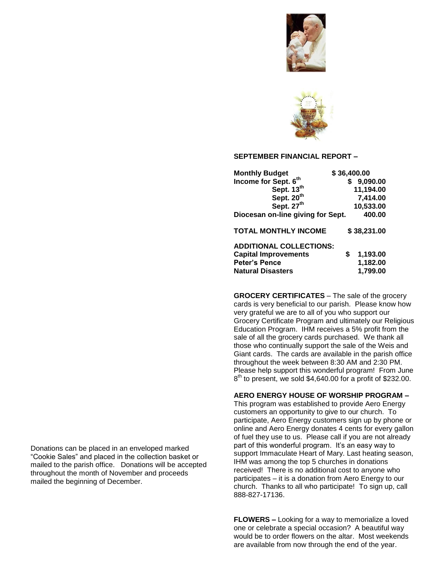



#### **SEPTEMBER FINANCIAL REPORT –**

| <b>Monthly Budget</b>                            | \$36,400.00 |             |
|--------------------------------------------------|-------------|-------------|
| Income for Sept. 6th                             |             | 9,090.00    |
| Sept. 13th                                       |             | 11,194.00   |
| Sept. 20 <sup>th</sup><br>Sept. 27 <sup>th</sup> |             | 7,414.00    |
|                                                  |             | 10,533.00   |
| Diocesan on-line giving for Sept.                |             | 400.00      |
| <b>TOTAL MONTHLY INCOME</b>                      |             | \$38,231.00 |
| <b>ADDITIONAL COLLECTIONS:</b>                   |             |             |
| <b>Capital Improvements</b>                      | \$          | 1,193.00    |
| <b>Peter's Pence</b>                             |             | 1,182.00    |
| <b>Natural Disasters</b>                         |             | 1,799.00    |

**GROCERY CERTIFICATES** – The sale of the grocery cards is very beneficial to our parish. Please know how very grateful we are to all of you who support our Grocery Certificate Program and ultimately our Religious Education Program. IHM receives a 5% profit from the sale of all the grocery cards purchased. We thank all those who continually support the sale of the Weis and Giant cards. The cards are available in the parish office throughout the week between 8:30 AM and 2:30 PM. Please help support this wonderful program! From June 8<sup>th</sup> to present, we sold \$4,640.00 for a profit of \$232.00.

#### **AERO ENERGY HOUSE OF WORSHIP PROGRAM –**

This program was established to provide Aero Energy customers an opportunity to give to our church. To participate, Aero Energy customers sign up by phone or online and Aero Energy donates 4 cents for every gallon of fuel they use to us. Please call if you are not already part of this wonderful program. It's an easy way to support Immaculate Heart of Mary. Last heating season, IHM was among the top 5 churches in donations received! There is no additional cost to anyone who participates – it is a donation from Aero Energy to our church. Thanks to all who participate! To sign up, call 888-827-17136.

**FLOWERS –** Looking for a way to memorialize a loved one or celebrate a special occasion? A beautiful way would be to order flowers on the altar. Most weekends are available from now through the end of the year.

Donations can be placed in an enveloped marked "Cookie Sales" and placed in the collection basket or mailed to the parish office. Donations will be accepted throughout the month of November and proceeds mailed the beginning of December.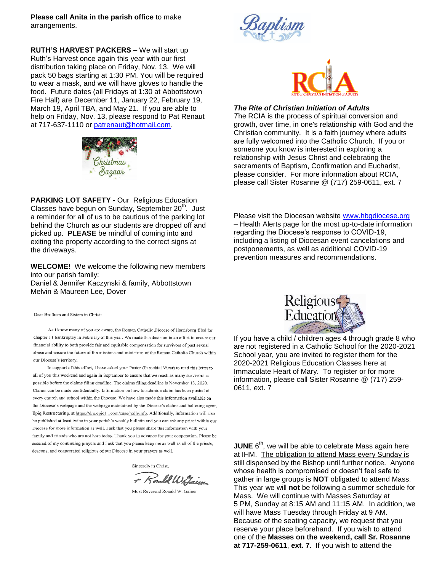**Please call Anita in the parish office** to make arrangements.

**RUTH'S HARVEST PACKERS –** We will start up Ruth's Harvest once again this year with our first distribution taking place on Friday, Nov. 13. We will pack 50 bags starting at 1:30 PM. You will be required to wear a mask, and we will have gloves to handle the food. Future dates (all Fridays at 1:30 at Abbottstown Fire Hall) are December 11, January 22, February 19, March 19, April TBA, and May 21. If you are able to help on Friday, Nov. 13, please respond to Pat Renaut at 717-637-1110 or [patrenaut@hotmail.com.](mailto:patrenaut@hotmail.com)



**PARKING LOT SAFETY -** Our Religious Education Classes have begun on Sunday, September 20<sup>th</sup>. Just a reminder for all of us to be cautious of the parking lot behind the Church as our students are dropped off and picked up. **PLEASE** be mindful of coming into and exiting the property according to the correct signs at the driveways.

**WELCOME!** We welcome the following new members into our parish family: Daniel & Jennifer Kaczynski & family, Abbottstown Melvin & Maureen Lee, Dover

Dear Brothers and Sisters in Christ:

As I know many of you are aware, the Roman Catholic Diocese of Harrisburg filed for chapter 11 bankruptcy in February of this year. We made this decision in an effort to ensure our financial ability to both provide fair and equitable compensation for survivors of past sexual abuse and ensure the future of the missions and ministries of the Roman Catholic Church within our Diocese's territory.

In support of this effort, I have asked your Pastor (Parochial Vicar) to read this letter to all of you this weekend and again in September to ensure that we reach as many survivors as possible before the claims filing deadline. The claims filing deadline is November 13, 2020. Claims can be made confidentially. Information on how to submit a claim has been posted at every church and school within the Diocese. We have also made this information available on the Diocese's webpage and the webpage maintained by the Diocese's claims and balloting agent. Epiq Restructuring, at https://dm.epiq11.com/case/rcdh/info. Additionally, information will also be published at least twice in your parish's weekly bulletin and you can ask any priest within our Diocese for more information as well. I ask that you please share this information with your family and friends who are not here today. Thank you in advance for your cooperation. Please be assured of my continuing prayers and I ask that you please keep me as well as all of the priests, deacons, and consecrated religious of our Diocese in your prayers as well.

Sincerely in Christ.

+ Rould Wilsing

Most Reverend Ronald W. Gainer





#### *The Rite of Christian Initiation of Adults*

*T*he RCIA is the process of spiritual conversion and growth, over time, in one's relationship with God and the Christian community. It is a faith journey where adults are fully welcomed into the Catholic Church. If you or someone you know is interested in exploring a relationship with Jesus Christ and celebrating the sacraments of Baptism, Confirmation and Eucharist, please consider. For more information about RCIA, please call Sister Rosanne @ (717) 259-0611, ext. 7

Please visit the Diocesan website [www.hbgdiocese.org](http://www.hbgdiocese.org/) – Health Alerts page for the most up-to-date information regarding the Diocese's response to COVID-19, including a listing of Diocesan event cancelations and postponements, as well as additional COVID-19 prevention measures and recommendations.



If you have a child / children ages 4 through grade 8 who are not registered in a Catholic School for the 2020-2021 School year, you are invited to register them for the 2020-2021 Religious Education Classes here at Immaculate Heart of Mary. To register or for more information, please call Sister Rosanne @ (717) 259- 0611, ext. 7

**JUNE** 6<sup>th</sup>, we will be able to celebrate Mass again here at IHM. The obligation to attend Mass every Sunday is still dispensed by the Bishop until further notice. Anyone whose health is compromised or doesn't feel safe to gather in large groups is **NOT** obligated to attend Mass. This year we will **not** be following a summer schedule for Mass. We will continue with Masses Saturday at 5 PM, Sunday at 8:15 AM and 11:15 AM. In addition, we will have Mass Tuesday through Friday at 9 AM. Because of the seating capacity, we request that you reserve your place beforehand. If you wish to attend one of the **Masses on the weekend, call Sr. Rosanne at 717-259-0611**, **ext. 7**. If you wish to attend the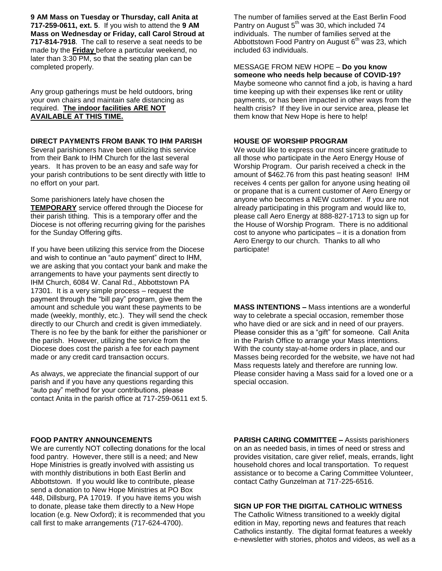**9 AM Mass on Tuesday or Thursday, call Anita at 717-259-0611, ext. 5**. If you wish to attend the **9 AM Mass on Wednesday or Friday, call Carol Stroud at 717-814-7918**. The call to reserve a seat needs to be made by the **Friday** before a particular weekend, no later than 3:30 PM, so that the seating plan can be completed properly.

Any group gatherings must be held outdoors, bring your own chairs and maintain safe distancing as required. **The indoor facilities ARE NOT AVAILABLE AT THIS TIME.**

#### **DIRECT PAYMENTS FROM BANK TO IHM PARISH**

Several parishioners have been utilizing this service from their Bank to IHM Church for the last several years. It has proven to be an easy and safe way for your parish contributions to be sent directly with little to no effort on your part.

Some parishioners lately have chosen the **TEMPORARY** service offered through the Diocese for their parish tithing. This is a temporary offer and the Diocese is not offering recurring giving for the parishes for the Sunday Offering gifts.

If you have been utilizing this service from the Diocese and wish to continue an "auto payment" direct to IHM, we are asking that you contact your bank and make the arrangements to have your payments sent directly to IHM Church, 6084 W. Canal Rd., Abbottstown PA 17301. It is a very simple process – request the payment through the "bill pay" program, give them the amount and schedule you want these payments to be made (weekly, monthly, etc.). They will send the check directly to our Church and credit is given immediately. There is no fee by the bank for either the parishioner or the parish. However, utilizing the service from the Diocese does cost the parish a fee for each payment made or any credit card transaction occurs.

As always, we appreciate the financial support of our parish and if you have any questions regarding this "auto pay" method for your contributions, please contact Anita in the parish office at 717-259-0611 ext 5. The number of families served at the East Berlin Food Pantry on August  $5<sup>th</sup>$  was 30, which included 74 individuals. The number of families served at the Abbottstown Food Pantry on August  $6<sup>th</sup>$  was 23, which included 63 individuals.

MESSAGE FROM NEW HOPE – **Do you know someone who needs help because of COVID-19?**  Maybe someone who cannot find a job, is having a hard time keeping up with their expenses like rent or utility payments, or has been impacted in other ways from the health crisis? If they live in our service area, please let them know that New Hope is here to help!

#### **HOUSE OF WORSHIP PROGRAM**

We would like to express our most sincere gratitude to all those who participate in the Aero Energy House of Worship Program. Our parish received a check in the amount of \$462.76 from this past heating season! IHM receives 4 cents per gallon for anyone using heating oil or propane that is a current customer of Aero Energy or anyone who becomes a NEW customer. If you are not already participating in this program and would like to, please call Aero Energy at 888-827-1713 to sign up for the House of Worship Program. There is no additional cost to anyone who participates – it is a donation from Aero Energy to our church. Thanks to all who participate!

**MASS INTENTIONS –** Mass intentions are a wonderful way to celebrate a special occasion, remember those who have died or are sick and in need of our prayers. Please consider this as a "gift" for someone. Call Anita in the Parish Office to arrange your Mass intentions. With the county stay-at-home orders in place, and our Masses being recorded for the website, we have not had Mass requests lately and therefore are running low. Please consider having a Mass said for a loved one or a special occasion.

### **FOOD PANTRY ANNOUNCEMENTS**

We are currently NOT collecting donations for the local food pantry. However, there still is a need; and New Hope Ministries is greatly involved with assisting us with monthly distributions in both East Berlin and Abbottstown. If you would like to contribute, please send a donation to New Hope Ministries at PO Box 448, Dillsburg, PA 17019. If you have items you wish to donate, please take them directly to a New Hope location (e.g. New Oxford); it is recommended that you call first to make arrangements (717-624-4700).

**PARISH CARING COMMITTEE –** Assists parishioners on an as needed basis, in times of need or stress and provides visitation, care giver relief, meals, errands, light household chores and local transportation. To request assistance or to become a Caring Committee Volunteer, contact Cathy Gunzelman at 717-225-6516.

#### **SIGN UP FOR THE DIGITAL CATHOLIC WITNESS**

The Catholic Witness transitioned to a weekly digital edition in May, reporting news and features that reach Catholics instantly. The digital format features a weekly e-newsletter with stories, photos and videos, as well as a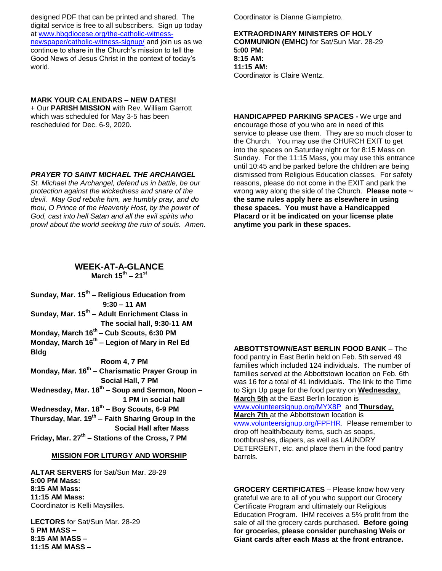designed PDF that can be printed and shared. The digital service is free to all subscribers. Sign up today at [www.hbgdiocese.org/the-catholic-witness](http://www.hbgdiocese.org/the-catholic-witness-newspaper/catholic-witness-signup/)[newspaper/catholic-witness-signup/](http://www.hbgdiocese.org/the-catholic-witness-newspaper/catholic-witness-signup/) and join us as we continue to share in the Church's mission to tell the Good News of Jesus Christ in the context of today's world.

### **MARK YOUR CALENDARS – NEW DATES!**

+ Our **PARISH MISSION** with Rev. William Garrott which was scheduled for May 3-5 has been rescheduled for Dec. 6-9, 2020.

### *PRAYER TO SAINT MICHAEL THE ARCHANGEL*

*St. Michael the Archangel, defend us in battle, be our protection against the wickedness and snare of the devil. May God rebuke him, we humbly pray, and do thou, O Prince of the Heavenly Host, by the power of God, cast into hell Satan and all the evil spirits who prowl about the world seeking the ruin of souls. Amen.* Coordinator is Dianne Giampietro.

**EXTRAORDINARY MINISTERS OF HOLY COMMUNION (EMHC)** for Sat/Sun Mar. 28-29 **5:00 PM: 8:15 AM: 11:15 AM:**  Coordinator is Claire Wentz.

**HANDICAPPED PARKING SPACES -** We urge and encourage those of you who are in need of this service to please use them. They are so much closer to the Church. You may use the CHURCH EXIT to get into the spaces on Saturday night or for 8:15 Mass on Sunday. For the 11:15 Mass, you may use this entrance until 10:45 and be parked before the children are being dismissed from Religious Education classes. For safety reasons, please do not come in the EXIT and park the wrong way along the side of the Church. **Please note ~ the same rules apply here as elsewhere in using these spaces. You must have a Handicapped Placard or it be indicated on your license plate anytime you park in these spaces.**

### **WEEK-AT-A-GLANCE March 15th – 21st**

**Sunday, Mar. 15th – Religious Education from 9:30 – 11 AM Sunday, Mar. 15th – Adult Enrichment Class in The social hall, 9:30-11 AM Monday, March 16 th – Cub Scouts, 6:30 PM Monday, March 16th – Legion of Mary in Rel Ed Bldg Room 4, 7 PM Monday, Mar. 16th – Charismatic Prayer Group in Social Hall, 7 PM Wednesday, Mar. 18th – Soup and Sermon, Noon – 1 PM in social hall Wednesday, Mar. 18th – Boy Scouts, 6-9 PM Thursday, Mar. 19th – Faith Sharing Group in the Social Hall after Mass Friday, Mar. 27th – Stations of the Cross, 7 PM**

### **MISSION FOR LITURGY AND WORSHIP**

**ALTAR SERVERS** for Sat/Sun Mar. 28-29 **5:00 PM Mass: 8:15 AM Mass: 11:15 AM Mass:** Coordinator is Kelli Maysilles.

**LECTORS** for Sat/Sun Mar. 28-29 **5 PM MASS – 8:15 AM MASS – 11:15 AM MASS –**

**ABBOTTSTOWN/EAST BERLIN FOOD BANK –** The food pantry in East Berlin held on Feb. 5th served 49 families which included 124 individuals. The number of families served at the Abbottstown location on Feb. 6th was 16 for a total of 41 individuals. The link to the Time to Sign Up page for the food pantry on **Wednesday**, **March 5th** at the East Berlin location is [www.volunteersignup.org/MYX8P](http://www.volunteersignup.org/MYX8P) and **Thursday, March 7th** at the Abbottstown location is [www.volunteersignup.org/FPFHR.](http://www.volunteersignup.org/FPFHR) Please remember to drop off health/beauty items, such as soaps, toothbrushes, diapers, as well as LAUNDRY DETERGENT, etc. and place them in the food pantry barrels.

**GROCERY CERTIFICATES** – Please know how very grateful we are to all of you who support our Grocery Certificate Program and ultimately our Religious Education Program. IHM receives a 5% profit from the sale of all the grocery cards purchased. **Before going for groceries, please consider purchasing Weis or Giant cards after each Mass at the front entrance.**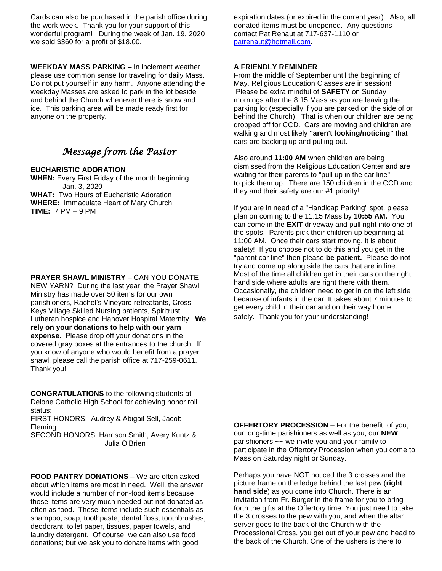Cards can also be purchased in the parish office during the work week. Thank you for your support of this wonderful program! During the week of Jan. 19, 2020 we sold \$360 for a profit of \$18.00.

**WEEKDAY MASS PARKING –** In inclement weather please use common sense for traveling for daily Mass. Do not put yourself in any harm. Anyone attending the weekday Masses are asked to park in the lot beside and behind the Church whenever there is snow and ice. This parking area will be made ready first for anyone on the property.

# *Message from the Pastor*

### **EUCHARISTIC ADORATION**

**WHEN:** Every First Friday of the month beginning Jan. 3, 2020 **WHAT:** Two Hours of Eucharistic Adoration **WHERE:** Immaculate Heart of Mary Church **TIME:** 7 PM – 9 PM

**PRAYER SHAWL MINISTRY –** CAN YOU DONATE NEW YARN? During the last year, the Prayer Shawl Ministry has made over 50 items for our own parishioners, Rachel's Vineyard retreatants, Cross Keys Village Skilled Nursing patients, Spiritrust Lutheran hospice and Hanover Hospital Maternity. **We rely on your donations to help with our yarn expense.** Please drop off your donations in the covered gray boxes at the entrances to the church. If you know of anyone who would benefit from a prayer shawl, please call the parish office at 717-259-0611. Thank you!

**CONGRATULATIONS** to the following students at Delone Catholic High School for achieving honor roll status:

FIRST HONORS: Audrey & Abigail Sell, Jacob Fleming

SECOND HONORS: Harrison Smith, Avery Kuntz & Julia O'Brien

**FOOD PANTRY DONATIONS –** We are often asked about which items are most in need. Well, the answer would include a number of non-food items because those items are very much needed but not donated as often as food. These items include such essentials as shampoo, soap, toothpaste, dental floss, toothbrushes, deodorant, toilet paper, tissues, paper towels, and laundry detergent. Of course, we can also use food donations; but we ask you to donate items with good

expiration dates (or expired in the current year). Also, all donated items must be unopened. Any questions contact Pat Renaut at 717-637-1110 or [patrenaut@hotmail.com.](mailto:patrenaut@hotmail.com)

#### **A FRIENDLY REMINDER**

From the middle of September until the beginning of May, Religious Education Classes are in session! Please be extra mindful of **SAFETY** on Sunday mornings after the 8:15 Mass as you are leaving the parking lot (especially if you are parked on the side of or behind the Church). That is when our children are being dropped off for CCD. Cars are moving and children are walking and most likely **"aren't looking/noticing"** that cars are backing up and pulling out.

Also around **11:00 AM** when children are being dismissed from the Religious Education Center and are waiting for their parents to "pull up in the car line" to pick them up. There are 150 children in the CCD and they and their safety are our #1 priority!

If you are in need of a "Handicap Parking" spot, please plan on coming to the 11:15 Mass by **10:55 AM.** You can come in the **EXIT** driveway and pull right into one of the spots. Parents pick their children up beginning at 11:00 AM. Once their cars start moving, it is about safety! If you choose not to do this and you get in the "parent car line" then please **be patient.** Please do not try and come up along side the cars that are in line. Most of the time all children get in their cars on the right hand side where adults are right there with them. Occasionally, the children need to get in on the left side because of infants in the car. It takes about 7 minutes to get every child in their car and on their way home safely. Thank you for your understanding!

**OFFERTORY PROCESSION** – For the benefit of you, our long-time parishioners as well as you, our **NEW**  parishioners ~~ we invite you and your family to participate in the Offertory Procession when you come to Mass on Saturday night or Sunday.

Perhaps you have NOT noticed the 3 crosses and the picture frame on the ledge behind the last pew (**right hand side**) as you come into Church. There is an invitation from Fr. Burger in the frame for you to bring forth the gifts at the Offertory time. You just need to take the 3 crosses to the pew with you, and when the altar server goes to the back of the Church with the Processional Cross, you get out of your pew and head to the back of the Church. One of the ushers is there to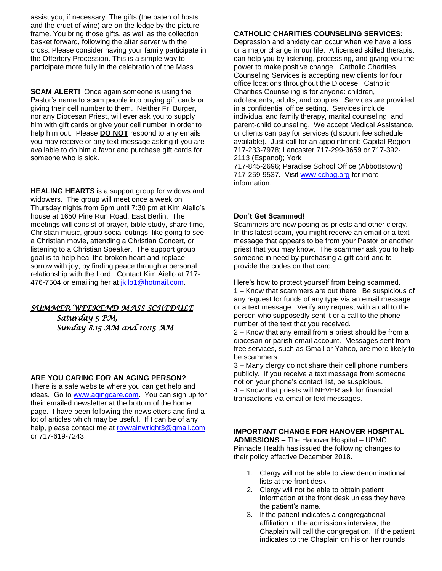assist you, if necessary. The gifts (the paten of hosts and the cruet of wine) are on the ledge by the picture frame. You bring those gifts, as well as the collection basket forward, following the altar server with the cross. Please consider having your family participate in the Offertory Procession. This is a simple way to participate more fully in the celebration of the Mass.

**SCAM ALERT!** Once again someone is using the Pastor's name to scam people into buying gift cards or giving their cell number to them. Neither Fr. Burger, nor any Diocesan Priest, will ever ask you to supply him with gift cards or give your cell number in order to help him out. Please **DO NOT** respond to any emails you may receive or any text message asking if you are available to do him a favor and purchase gift cards for someone who is sick.

**HEALING HEARTS** is a support group for widows and widowers. The group will meet once a week on Thursday nights from 6pm until 7:30 pm at Kim Aiello's house at 1650 Pine Run Road, East Berlin. The meetings will consist of prayer, bible study, share time, Christian music, group social outings, like going to see a Christian movie, attending a Christian Concert, or listening to a Christian Speaker. The support group goal is to help heal the broken heart and replace sorrow with joy, by finding peace through a personal relationship with the Lord. Contact Kim Aiello at 717 476-7504 or emailing her at [jkilo1@hotmail.com.](mailto:jkilo1@hotmail.com)

# *SUMMER WEEKEND MASS SCHEDULE*

*Saturday 5 PM, Sunday 8:15 AM and 10:15 AM* 

### **ARE YOU CARING FOR AN AGING PERSON?**

There is a safe website where you can get help and ideas. Go to [www.agingcare.com.](http://www.agingcare.com/) You can sign up for their emailed newsletter at the bottom of the home page. I have been following the newsletters and find a lot of articles which may be useful. If I can be of any help, please contact me at [roywainwright3@gmail.com](mailto:roywainwright3@gmail.com) or 717-619-7243.

### **CATHOLIC CHARITIES COUNSELING SERVICES:**

Depression and anxiety can occur when we have a loss or a major change in our life. A licensed skilled therapist can help you by listening, processing, and giving you the power to make positive change. Catholic Charities Counseling Services is accepting new clients for four office locations throughout the Diocese. Catholic Charities Counseling is for anyone: children, adolescents, adults, and couples. Services are provided in a confidential office setting. Services include individual and family therapy, marital counseling, and parent-child counseling. We accept Medical Assistance, or clients can pay for services (discount fee schedule available). Just call for an appointment: Capital Region 717-233-7978; Lancaster 717-299-3659 or 717-392- 2113 (Espanol); York

717-845-2696; Paradise School Office (Abbottstown) 717-259-9537. Visit [www.cchbg.org](http://www.cchbg.org/) for more information.

### **Don't Get Scammed!**

Scammers are now posing as priests and other clergy. In this latest scam, you might receive an email or a text message that appears to be from your Pastor or another priest that you may know. The scammer ask you to help someone in need by purchasing a gift card and to provide the codes on that card.

Here's how to protect yourself from being scammed. 1 – Know that scammers are out there. Be suspicious of any request for funds of any type via an email message or a text message. Verify any request with a call to the person who supposedly sent it or a call to the phone number of the text that you received.

2 – Know that any email from a priest should be from a diocesan or parish email account. Messages sent from free services, such as Gmail or Yahoo, are more likely to be scammers.

3 – Many clergy do not share their cell phone numbers publicly. If you receive a text message from someone not on your phone's contact list, be suspicious. 4 – Know that priests will NEVER ask for financial transactions via email or text messages.

# **IMPORTANT CHANGE FOR HANOVER HOSPITAL**

**ADMISSIONS –** The Hanover Hospital – UPMC Pinnacle Health has issued the following changes to their policy effective December 2018.

- 1. Clergy will not be able to view denominational lists at the front desk.
- 2. Clergy will not be able to obtain patient information at the front desk unless they have the patient's name.
- 3. If the patient indicates a congregational affiliation in the admissions interview, the Chaplain will call the congregation. If the patient indicates to the Chaplain on his or her rounds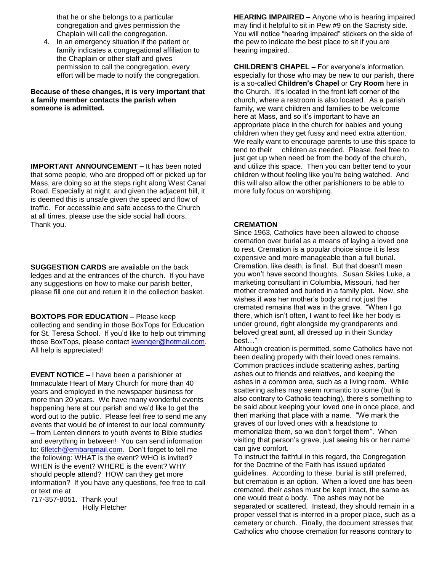that he or she belongs to a particular congregation and gives permission the Chaplain will call the congregation.

4. In an emergency situation if the patient or family indicates a congregational affiliation to the Chaplain or other staff and gives permission to call the congregation, every effort will be made to notify the congregation.

**Because of these changes, it is very important that a family member contacts the parish when someone is admitted.**

**IMPORTANT ANNOUNCEMENT –** It has been noted that some people, who are dropped off or picked up for Mass, are doing so at the steps right along West Canal Road. Especially at night, and given the adjacent hill, it is deemed this is unsafe given the speed and flow of traffic. For accessible and safe access to the Church at all times, please use the side social hall doors. Thank you.

**SUGGESTION CARDS** are available on the back ledges and at the entrances of the church. If you have any suggestions on how to make our parish better, please fill one out and return it in the collection basket.

### **BOXTOPS FOR EDUCATION –** Please keep

collecting and sending in those BoxTops for Education for St. Teresa School. If you'd like to help out trimming those BoxTops, please contact [kwenger@hotmail.com.](mailto:kwenger@hotmail.com) All help is appreciated!

**EVENT NOTICE –** I have been a parishioner at Immaculate Heart of Mary Church for more than 40 years and employed in the newspaper business for more than 20 years. We have many wonderful events happening here at our parish and we'd like to get the word out to the public. Please feel free to send me any events that would be of interest to our local community – from Lenten dinners to youth events to Bible studies and everything in between! You can send information to: [6fletch@embarqmail.com.](mailto:6fletch@embarqmail.com) Don't forget to tell me the following: WHAT is the event? WHO is invited? WHEN is the event? WHERE is the event? WHY should people attend? HOW can they get more information? If you have any questions, fee free to call or text me at

717-357-8051. Thank you! Holly Fletcher **HEARING IMPAIRED –** Anyone who is hearing impaired may find it helpful to sit in Pew #9 on the Sacristy side. You will notice "hearing impaired" stickers on the side of the pew to indicate the best place to sit if you are hearing impaired.

**CHILDREN'S CHAPEL –** For everyone's information, especially for those who may be new to our parish, there is a so-called **Children's Chapel** or **Cry Room** here in the Church. It's located in the front left corner of the church, where a restroom is also located. As a parish family, we want children and families to be welcome here at Mass, and so it's important to have an appropriate place in the church for babies and young children when they get fussy and need extra attention. We really want to encourage parents to use this space to tend to their children as needed. Please, feel free to just get up when need be from the body of the church. and utilize this space. Then you can better tend to your children without feeling like you're being watched. And this will also allow the other parishioners to be able to more fully focus on worshiping.

### **CREMATION**

Since 1963, Catholics have been allowed to choose cremation over burial as a means of laying a loved one to rest. Cremation is a popular choice since it is less expensive and more manageable than a full burial. Cremation, like death, is final. But that doesn't mean you won't have second thoughts. Susan Skiles Luke, a marketing consultant in Columbia, Missouri, had her mother cremated and buried in a family plot. Now, she wishes it was her mother's body and not just the cremated remains that was in the grave. "When I go there, which isn't often, I want to feel like her body is under ground, right alongside my grandparents and beloved great aunt, all dressed up in their Sunday best…"

Although creation is permitted, some Catholics have not been dealing properly with their loved ones remains. Common practices include scattering ashes, parting ashes out to friends and relatives, and keeping the ashes in a common area, such as a living room. While scattering ashes may seem romantic to some (but is also contrary to Catholic teaching), there's something to be said about keeping your loved one in once place, and then marking that place with a name. "We mark the graves of our loved ones with a headstone to memorialize them, so we don't forget them". When visiting that person's grave, just seeing his or her name can give comfort.

To instruct the faithful in this regard, the Congregation for the Doctrine of the Faith has issued updated guidelines. According to these, burial is still preferred, but cremation is an option. When a loved one has been cremated, their ashes must be kept intact, the same as one would treat a body. The ashes may not be separated or scattered. Instead, they should remain in a proper vessel that is interred in a proper place, such as a cemetery or church. Finally, the document stresses that Catholics who choose cremation for reasons contrary to